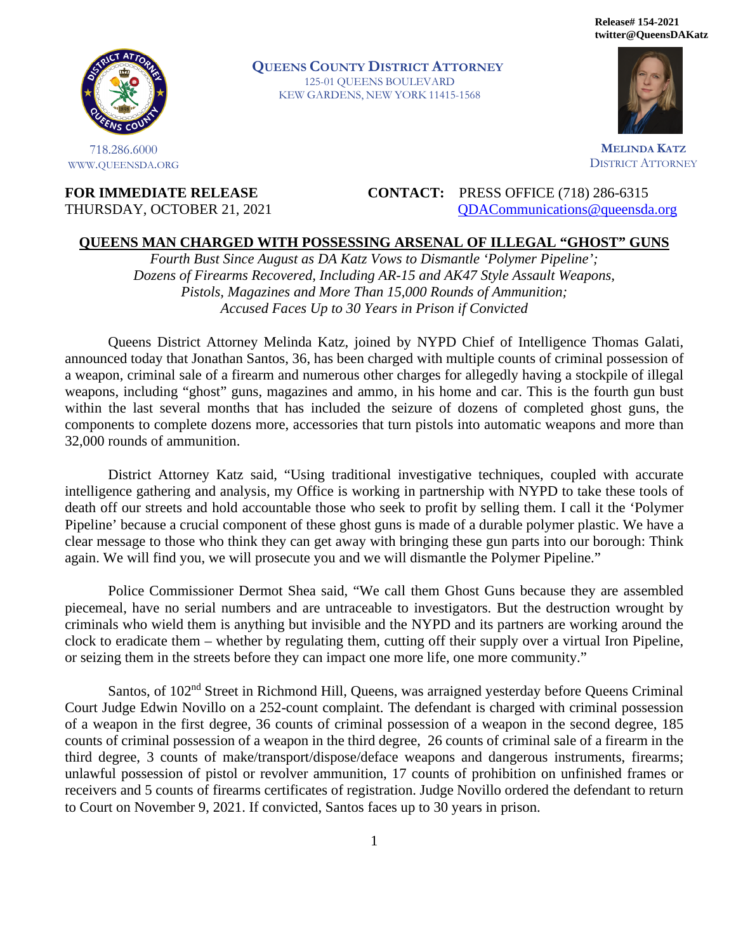**Release# 154-2021 twitter@QueensDAKatz** 



718.286.6000 WWW.QUEENSDA.ORG **QUEENS COUNTY DISTRICT ATTORNEY** 125-01 QUEENS BOULEVARD KEW GARDENS, NEW YORK 11415-1568



**MELINDA KATZ** DISTRICT ATTORNEY

**FOR IMMEDIATE RELEASE CONTACT:** PRESS OFFICE (718) 286-6315 THURSDAY, OCTOBER 21, 2021 [QDACommunications@queensda.org](mailto:QDACommunications@queensda.org)

## **QUEENS MAN CHARGED WITH POSSESSING ARSENAL OF ILLEGAL "GHOST" GUNS**

*Fourth Bust Since August as DA Katz Vows to Dismantle 'Polymer Pipeline'; Dozens of Firearms Recovered, Including AR-15 and AK47 Style Assault Weapons, Pistols, Magazines and More Than 15,000 Rounds of Ammunition; Accused Faces Up to 30 Years in Prison if Convicted* 

Queens District Attorney Melinda Katz, joined by NYPD Chief of Intelligence Thomas Galati, announced today that Jonathan Santos, 36, has been charged with multiple counts of criminal possession of a weapon, criminal sale of a firearm and numerous other charges for allegedly having a stockpile of illegal weapons, including "ghost" guns, magazines and ammo, in his home and car. This is the fourth gun bust within the last several months that has included the seizure of dozens of completed ghost guns, the components to complete dozens more, accessories that turn pistols into automatic weapons and more than 32,000 rounds of ammunition.

District Attorney Katz said, "Using traditional investigative techniques, coupled with accurate intelligence gathering and analysis, my Office is working in partnership with NYPD to take these tools of death off our streets and hold accountable those who seek to profit by selling them. I call it the 'Polymer Pipeline' because a crucial component of these ghost guns is made of a durable polymer plastic. We have a clear message to those who think they can get away with bringing these gun parts into our borough: Think again. We will find you, we will prosecute you and we will dismantle the Polymer Pipeline."

Police Commissioner Dermot Shea said, "We call them Ghost Guns because they are assembled piecemeal, have no serial numbers and are untraceable to investigators. But the destruction wrought by criminals who wield them is anything but invisible and the NYPD and its partners are working around the clock to eradicate them – whether by regulating them, cutting off their supply over a virtual Iron Pipeline, or seizing them in the streets before they can impact one more life, one more community."

Santos, of 102<sup>nd</sup> Street in Richmond Hill, Queens, was arraigned yesterday before Queens Criminal Court Judge Edwin Novillo on a 252-count complaint. The defendant is charged with criminal possession of a weapon in the first degree, 36 counts of criminal possession of a weapon in the second degree, 185 counts of criminal possession of a weapon in the third degree, 26 counts of criminal sale of a firearm in the third degree, 3 counts of make/transport/dispose/deface weapons and dangerous instruments, firearms; unlawful possession of pistol or revolver ammunition, 17 counts of prohibition on unfinished frames or receivers and 5 counts of firearms certificates of registration. Judge Novillo ordered the defendant to return to Court on November 9, 2021. If convicted, Santos faces up to 30 years in prison.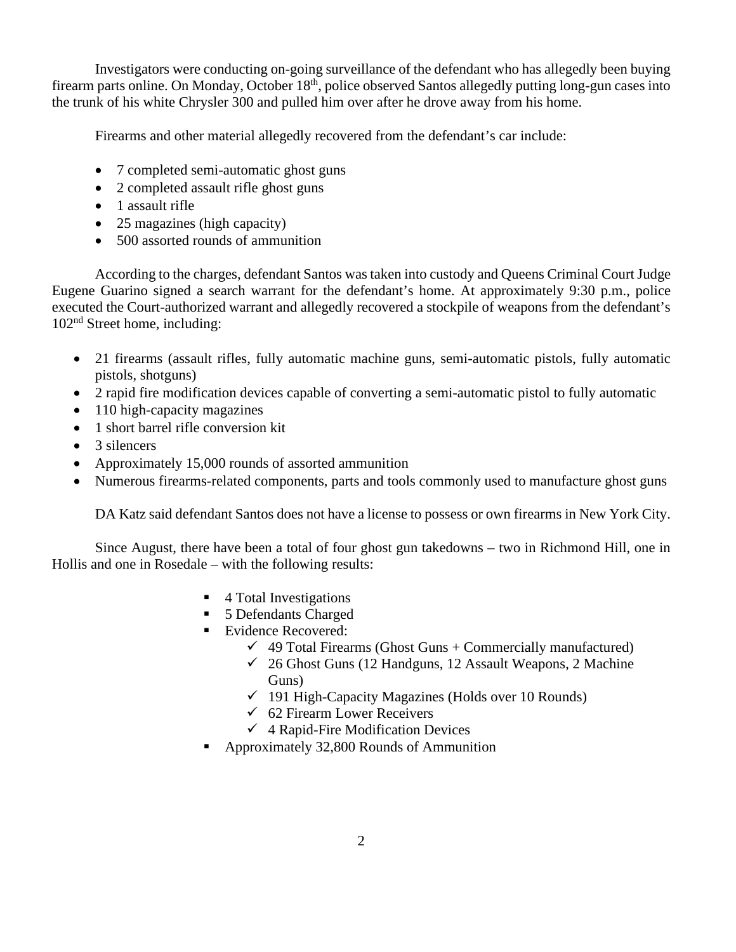Investigators were conducting on-going surveillance of the defendant who has allegedly been buying firearm parts online. On Monday, October 18<sup>th</sup>, police observed Santos allegedly putting long-gun cases into the trunk of his white Chrysler 300 and pulled him over after he drove away from his home.

Firearms and other material allegedly recovered from the defendant's car include:

- 7 completed semi-automatic ghost guns
- 2 completed assault rifle ghost guns
- 1 assault rifle
- 25 magazines (high capacity)
- 500 assorted rounds of ammunition

According to the charges, defendant Santos was taken into custody and Queens Criminal Court Judge Eugene Guarino signed a search warrant for the defendant's home. At approximately 9:30 p.m., police executed the Court-authorized warrant and allegedly recovered a stockpile of weapons from the defendant's 102nd Street home, including:

- 21 firearms (assault rifles, fully automatic machine guns, semi-automatic pistols, fully automatic pistols, shotguns)
- 2 rapid fire modification devices capable of converting a semi-automatic pistol to fully automatic
- 110 high-capacity magazines
- 1 short barrel rifle conversion kit
- $\bullet$  3 silencers
- Approximately 15,000 rounds of assorted ammunition
- Numerous firearms-related components, parts and tools commonly used to manufacture ghost guns

DA Katz said defendant Santos does not have a license to possess or own firearms in New York City.

Since August, there have been a total of four ghost gun takedowns – two in Richmond Hill, one in Hollis and one in Rosedale – with the following results:

- 4 Total Investigations
- 5 Defendants Charged
- Evidence Recovered:
	- $\checkmark$  49 Total Firearms (Ghost Guns + Commercially manufactured)
	- $\checkmark$  26 Ghost Guns (12 Handguns, 12 Assault Weapons, 2 Machine Guns)
	- $\checkmark$  191 High-Capacity Magazines (Holds over 10 Rounds)
	- $62$  Firearm Lower Receivers
	- $\checkmark$  4 Rapid-Fire Modification Devices
- Approximately 32,800 Rounds of Ammunition